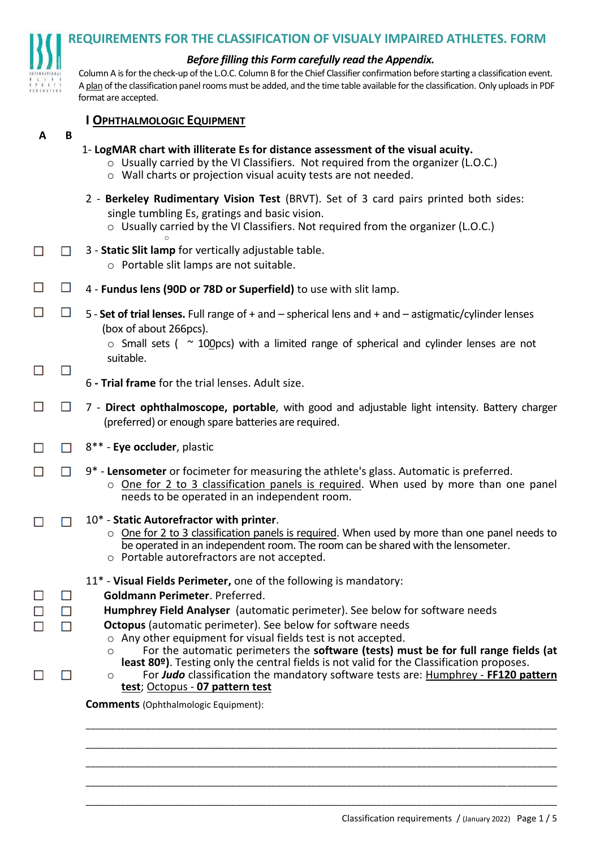

# **REQUIREMENTS FOR THE CLASSIFICATION OF VISUALY IMPAIRED ATHLETES. FORM**

### *Before filling this Form carefully read the Appendix.*

format are accepted. A plan of the classification panel rooms must be added, and the time table available for the classification. Only uploads in PDF Column A is for the check-up of the L.O.C. Column B for the Chief Classifier confirmation before starting a classification event.

|--|

| A                | B      |                                                                                                                                                                                                                                                                                                                                                                                                           |  |  |  |  |  |
|------------------|--------|-----------------------------------------------------------------------------------------------------------------------------------------------------------------------------------------------------------------------------------------------------------------------------------------------------------------------------------------------------------------------------------------------------------|--|--|--|--|--|
|                  |        | 1- LogMAR chart with illiterate Es for distance assessment of the visual acuity.<br>$\circ$ Usually carried by the VI Classifiers. Not required from the organizer (L.O.C.)<br>o Wall charts or projection visual acuity tests are not needed.                                                                                                                                                            |  |  |  |  |  |
|                  |        | 2 - Berkeley Rudimentary Vision Test (BRVT). Set of 3 card pairs printed both sides:<br>single tumbling Es, gratings and basic vision.<br>$\circ$ Usually carried by the VI Classifiers. Not required from the organizer (L.O.C.)                                                                                                                                                                         |  |  |  |  |  |
|                  |        | 3 - Static Slit lamp for vertically adjustable table.<br>$\circ$ Portable slit lamps are not suitable.                                                                                                                                                                                                                                                                                                    |  |  |  |  |  |
|                  |        | 4 - Fundus lens (90D or 78D or Superfield) to use with slit lamp.                                                                                                                                                                                                                                                                                                                                         |  |  |  |  |  |
|                  |        | 5 - Set of trial lenses. Full range of + and - spherical lens and + and - astigmatic/cylinder lenses<br>(box of about 266pcs).<br>$\circ$ Small sets ( $\sim$ 100 pcs) with a limited range of spherical and cylinder lenses are not                                                                                                                                                                      |  |  |  |  |  |
| □                |        | suitable.                                                                                                                                                                                                                                                                                                                                                                                                 |  |  |  |  |  |
|                  |        | 6 - Trial frame for the trial lenses. Adult size.                                                                                                                                                                                                                                                                                                                                                         |  |  |  |  |  |
| $\Box$           |        | 7 - Direct ophthalmoscope, portable, with good and adjustable light intensity. Battery charger<br>(preferred) or enough spare batteries are required.                                                                                                                                                                                                                                                     |  |  |  |  |  |
|                  |        | 8** - Eye occluder, plastic                                                                                                                                                                                                                                                                                                                                                                               |  |  |  |  |  |
|                  |        | 9* - Lensometer or focimeter for measuring the athlete's glass. Automatic is preferred.<br>o One for 2 to 3 classification panels is required. When used by more than one panel<br>needs to be operated in an independent room.                                                                                                                                                                           |  |  |  |  |  |
|                  |        | 10* - Static Autorefractor with printer.<br>$\circ$ One for 2 to 3 classification panels is required. When used by more than one panel needs to<br>be operated in an independent room. The room can be shared with the lensometer.<br>o Portable autorefractors are not accepted.                                                                                                                         |  |  |  |  |  |
|                  |        | 11* - Visual Fields Perimeter, one of the following is mandatory:                                                                                                                                                                                                                                                                                                                                         |  |  |  |  |  |
| $\Box$           | H      | Goldmann Perimeter, Preferred.                                                                                                                                                                                                                                                                                                                                                                            |  |  |  |  |  |
| $\Box$<br>$\Box$ | □<br>П | Humphrey Field Analyser (automatic perimeter). See below for software needs<br><b>Octopus</b> (automatic perimeter). See below for software needs                                                                                                                                                                                                                                                         |  |  |  |  |  |
|                  |        | $\circ$ Any other equipment for visual fields test is not accepted.<br>For the automatic perimeters the software (tests) must be for full range fields (at<br>$\bigcirc$<br>least 80º). Testing only the central fields is not valid for the Classification proposes.<br>For Judo classification the mandatory software tests are: Humphrey - FF120 pattern<br>$\circ$<br>test; Octopus - 07 pattern test |  |  |  |  |  |
|                  |        | <b>Comments</b> (Ophthalmologic Equipment):                                                                                                                                                                                                                                                                                                                                                               |  |  |  |  |  |
|                  |        |                                                                                                                                                                                                                                                                                                                                                                                                           |  |  |  |  |  |

\_\_\_\_\_\_\_\_\_\_\_\_\_\_\_\_\_\_\_\_\_\_\_\_\_\_\_\_\_\_\_\_\_\_\_\_\_\_\_\_\_\_\_\_\_\_\_\_\_\_\_\_\_\_\_\_\_\_\_\_\_\_\_\_\_\_\_\_\_\_\_\_\_\_\_\_\_\_\_\_\_\_\_\_\_\_\_\_\_\_\_\_\_\_ \_\_\_\_\_\_\_\_\_\_\_\_\_\_\_\_\_\_\_\_\_\_\_\_\_\_\_\_\_\_\_\_\_\_\_\_\_\_\_\_\_\_\_\_\_\_\_\_\_\_\_\_\_\_\_\_\_\_\_\_\_\_\_\_\_\_\_\_\_\_\_\_\_\_\_\_\_\_\_\_\_\_\_\_\_\_\_\_\_\_\_\_\_\_ \_\_\_\_\_\_\_\_\_\_\_\_\_\_\_\_\_\_\_\_\_\_\_\_\_\_\_\_\_\_\_\_\_\_\_\_\_\_\_\_\_\_\_\_\_\_\_\_\_\_\_\_\_\_\_\_\_\_\_\_\_\_\_\_\_\_\_\_\_\_\_\_\_\_\_\_\_\_\_\_\_\_\_\_\_\_\_\_\_\_\_\_\_\_ \_\_\_\_\_\_\_\_\_\_\_\_\_\_\_\_\_\_\_\_\_\_\_\_\_\_\_\_\_\_\_\_\_\_\_\_\_\_\_\_\_\_\_\_\_\_\_\_\_\_\_\_\_\_\_\_\_\_\_\_\_\_\_\_\_\_\_\_\_\_\_\_\_\_\_\_\_\_\_\_\_\_\_\_\_\_\_\_\_\_\_\_\_\_ \_\_\_\_\_\_\_\_\_\_\_\_\_\_\_\_\_\_\_\_\_\_\_\_\_\_\_\_\_\_\_\_\_\_\_\_\_\_\_\_\_\_\_\_\_\_\_\_\_\_\_\_\_\_\_\_\_\_\_\_\_\_\_\_\_\_\_\_\_\_\_\_\_\_\_\_\_\_\_\_\_\_\_\_\_\_\_\_\_\_\_\_\_\_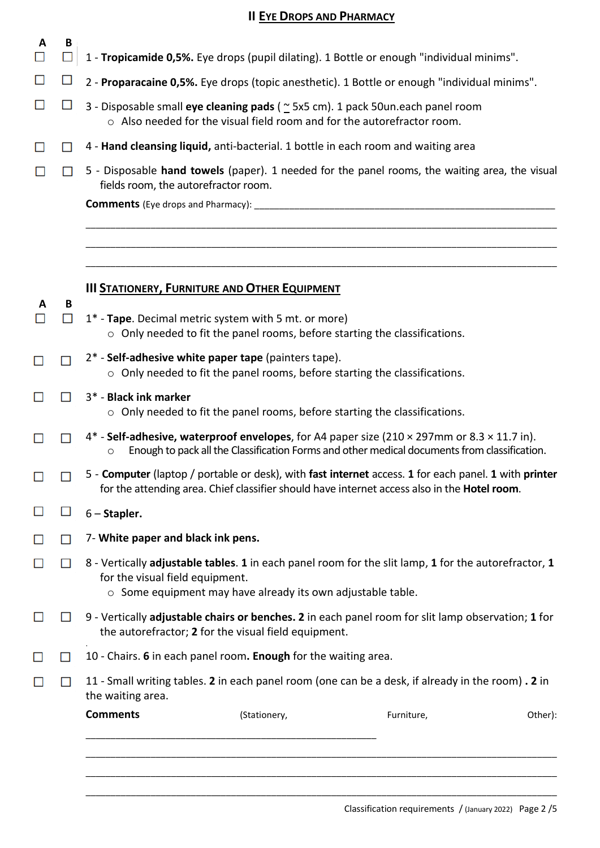# **II EYE DROPS AND PHARMACY**

- $\Box$  $\Box$ 1 - **Tropicamide 0,5%.** Eye drops (pupil dilating). 1 Bottle or enough "individual minims".
- $\Box$  $\Box$ 2 - **Proparacaine 0,5%.** Eye drops (topic anesthetic). 1 Bottle or enough "individual minims".
- $\Box$  $\Box$ 3 - Disposable small **eye cleaning pads** ( ~ 5x5 cm). 1 pack 50un.each panel room o Also needed for the visual field room and for the autorefractor room.
- $\Box$ 4 - **Hand cleansing liquid,** anti-bacterial. 1 bottle in each room and waiting area
- 5 Disposable **hand towels** (paper). 1 needed for the panel rooms, the waiting area, the visual  $\Box$ fields room, the autorefractor room.

\_\_\_\_\_\_\_\_\_\_\_\_\_\_\_\_\_\_\_\_\_\_\_\_\_\_\_\_\_\_\_\_\_\_\_\_\_\_\_\_\_\_\_\_\_\_\_\_\_\_\_\_\_\_\_\_\_\_\_\_\_\_\_\_\_\_\_\_\_\_\_\_\_\_\_\_\_\_\_\_\_\_\_\_\_\_\_\_\_\_\_\_\_\_ \_\_\_\_\_\_\_\_\_\_\_\_\_\_\_\_\_\_\_\_\_\_\_\_\_\_\_\_\_\_\_\_\_\_\_\_\_\_\_\_\_\_\_\_\_\_\_\_\_\_\_\_\_\_\_\_\_\_\_\_\_\_\_\_\_\_\_\_\_\_\_\_\_\_\_\_\_\_\_\_\_\_\_\_\_\_\_\_\_\_\_\_\_\_ \_\_\_\_\_\_\_\_\_\_\_\_\_\_\_\_\_\_\_\_\_\_\_\_\_\_\_\_\_\_\_\_\_\_\_\_\_\_\_\_\_\_\_\_\_\_\_\_\_\_\_\_\_\_\_\_\_\_\_\_\_\_\_\_\_\_\_\_\_\_\_\_\_\_\_\_\_\_\_\_\_\_\_\_\_\_\_\_\_\_\_\_\_\_

**Comments** (Eye drops and Pharmacy):

 **A B 12**

|        |        |                                                                                                                                                                                                        | <b>III STATIONERY, FURNITURE AND OTHER EQUIPMENT</b>                                                                               |                                                                                                      |         |  |  |
|--------|--------|--------------------------------------------------------------------------------------------------------------------------------------------------------------------------------------------------------|------------------------------------------------------------------------------------------------------------------------------------|------------------------------------------------------------------------------------------------------|---------|--|--|
| A<br>П | В<br>П |                                                                                                                                                                                                        | 1* - Tape. Decimal metric system with 5 mt. or more)<br>o Only needed to fit the panel rooms, before starting the classifications. |                                                                                                      |         |  |  |
|        | П      |                                                                                                                                                                                                        | 2* - Self-adhesive white paper tape (painters tape).<br>o Only needed to fit the panel rooms, before starting the classifications. |                                                                                                      |         |  |  |
|        | П      | 3* - Black ink marker                                                                                                                                                                                  | o Only needed to fit the panel rooms, before starting the classifications.                                                         |                                                                                                      |         |  |  |
|        | П      | 4* - Self-adhesive, waterproof envelopes, for A4 paper size (210 × 297mm or 8.3 × 11.7 in).<br>Enough to pack all the Classification Forms and other medical documents from classification.<br>$\circ$ |                                                                                                                                    |                                                                                                      |         |  |  |
|        | П      | 5 - Computer (laptop / portable or desk), with fast internet access. 1 for each panel. 1 with printer<br>for the attending area. Chief classifier should have internet access also in the Hotel room.  |                                                                                                                                    |                                                                                                      |         |  |  |
|        | □      | $6$ – Stapler.                                                                                                                                                                                         |                                                                                                                                    |                                                                                                      |         |  |  |
|        | П      | 7- White paper and black ink pens.                                                                                                                                                                     |                                                                                                                                    |                                                                                                      |         |  |  |
|        | □      | for the visual field equipment.                                                                                                                                                                        | o Some equipment may have already its own adjustable table.                                                                        | 8 - Vertically adjustable tables. 1 in each panel room for the slit lamp, 1 for the autorefractor, 1 |         |  |  |
|        | $\Box$ |                                                                                                                                                                                                        | the autorefractor; 2 for the visual field equipment.                                                                               | 9 - Vertically adjustable chairs or benches. 2 in each panel room for slit lamp observation; 1 for   |         |  |  |
|        | П      |                                                                                                                                                                                                        | 10 - Chairs. 6 in each panel room. Enough for the waiting area.                                                                    |                                                                                                      |         |  |  |
|        | $\Box$ | 11 - Small writing tables. 2 in each panel room (one can be a desk, if already in the room). 2 in<br>the waiting area.                                                                                 |                                                                                                                                    |                                                                                                      |         |  |  |
|        |        | <b>Comments</b>                                                                                                                                                                                        | (Stationery,                                                                                                                       | Furniture,                                                                                           | Other): |  |  |
|        |        |                                                                                                                                                                                                        |                                                                                                                                    |                                                                                                      |         |  |  |
|        |        |                                                                                                                                                                                                        |                                                                                                                                    |                                                                                                      |         |  |  |

\_\_\_\_\_\_\_\_\_\_\_\_\_\_\_\_\_\_\_\_\_\_\_\_\_\_\_\_\_\_\_\_\_\_\_\_\_\_\_\_\_\_\_\_\_\_\_\_\_\_\_\_\_\_\_\_\_\_\_\_\_\_\_\_\_\_\_\_\_\_\_\_\_\_\_\_\_\_\_\_\_\_\_\_\_\_\_\_\_\_\_\_\_\_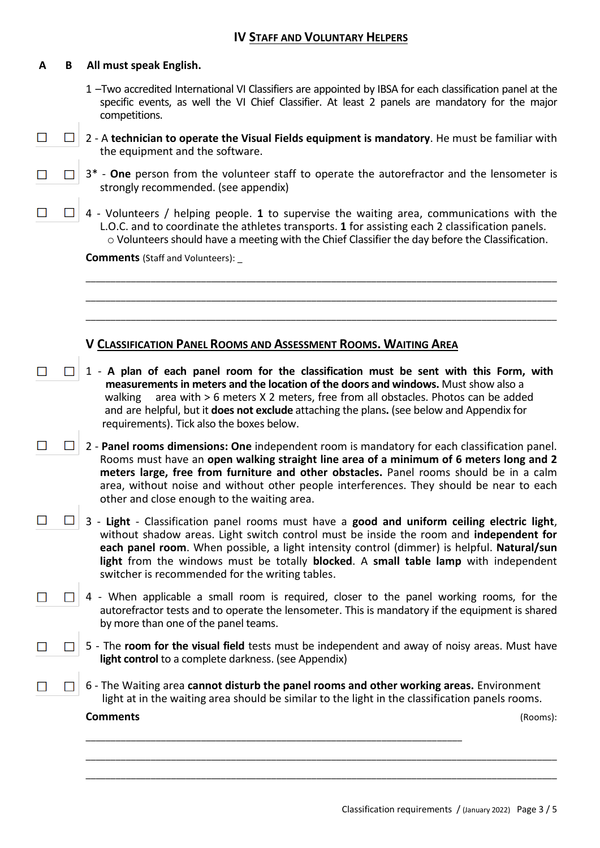| A | В |  |  |  | All must speak English. |
|---|---|--|--|--|-------------------------|
|---|---|--|--|--|-------------------------|

 $\Box$ 

- competitions. specific events, as well the VI Chief Classifier. At least 2 panels are mandatory for the major 1 –Two accredited International VI Classifiers are appointed by IBSA for each classification panel at the
- the equipment and the software. 2 - A **technician to operate the Visual Fields equipment is mandatory**. He must be familiar with
- $\Box$ □ 3<sup>\*</sup> - **One** person from the volunteer staff to operate the autorefractor and the lensometer is strongly recommended. (see appendix)
- $\Box$ 4 - Volunteers / helping people. **1** to supervise the waiting area, communications with the L.O.C. and to coordinate the athletes transports. **1** for assisting each 2 classification panels.  $\circ$  Volunteers should have a meeting with the Chief Classifier the day before the Classification.

**Comments** (Staff and Volunteers): \_

## **V CLASSIFICATION PANEL ROOMS AND ASSESSMENT ROOMS. WAITING AREA**

 $\Box$ 1 - **A plan of each panel room for the classification must be sent with this Form, with measurements in meters and the location of the doors and windows.** Must show also a walking area with > 6 meters X 2 meters, free from all obstacles. Photos can be added and are helpful, but it **does not exclude** attaching the plans**.** (see below and Appendix for requirements). Tick also the boxes below.

\_\_\_\_\_\_\_\_\_\_\_\_\_\_\_\_\_\_\_\_\_\_\_\_\_\_\_\_\_\_\_\_\_\_\_\_\_\_\_\_\_\_\_\_\_\_\_\_\_\_\_\_\_\_\_\_\_\_\_\_\_\_\_\_\_\_\_\_\_\_\_\_\_\_\_\_\_\_\_\_\_\_\_\_\_\_\_\_\_\_\_\_\_\_ \_\_\_\_\_\_\_\_\_\_\_\_\_\_\_\_\_\_\_\_\_\_\_\_\_\_\_\_\_\_\_\_\_\_\_\_\_\_\_\_\_\_\_\_\_\_\_\_\_\_\_\_\_\_\_\_\_\_\_\_\_\_\_\_\_\_\_\_\_\_\_\_\_\_\_\_\_\_\_\_\_\_\_\_\_\_\_\_\_\_\_\_\_\_ \_\_\_\_\_\_\_\_\_\_\_\_\_\_\_\_\_\_\_\_\_\_\_\_\_\_\_\_\_\_\_\_\_\_\_\_\_\_\_\_\_\_\_\_\_\_\_\_\_\_\_\_\_\_\_\_\_\_\_\_\_\_\_\_\_\_\_\_\_\_\_\_\_\_\_\_\_\_\_\_\_\_\_\_\_\_\_\_\_\_\_\_\_\_

- $\Box$ 2 - **Panel rooms dimensions: One** independent room is mandatory for each classification panel. Rooms must have an **open walking straight line area of a minimum of 6 meters long and 2 meters large, free from furniture and other obstacles.** Panel rooms should be in a calm area, without noise and without other people interferences. They should be near to each other and close enough to the waiting area.
- $\Box$ 3 - **Light** - Classification panel rooms must have a **good and uniform ceiling electric light**, without shadow areas. Light switch control must be inside the room and **independent for each panel room**. When possible, a light intensity control (dimmer) is helpful. **Natural/sun light** from the windows must be totally **blocked**. A **small table lamp** with independent switcher is recommended for the writing tables.
- $\Box$  $\Box$  4 - When applicable a small room is required, closer to the panel working rooms, for the autorefractor tests and to operate the lensometer. This is mandatory if the equipment is shared by more than one of the panel teams.
- □ 5 The **room for the visual field** tests must be independent and away of noisy areas. Must have П **light control** to a complete darkness. (see Appendix)
- 6 The Waiting area **cannot disturb the panel rooms and other working areas.** Environment  $\Box$ light at in the waiting area should be similar to the light in the classification panels rooms.

\_\_\_\_\_\_\_\_\_\_\_\_\_\_\_\_\_\_\_\_\_\_\_\_\_\_\_\_\_\_\_\_\_\_\_\_\_\_\_\_\_\_\_\_\_\_\_\_\_\_\_\_\_\_\_\_\_\_\_\_\_\_\_\_\_\_\_\_\_\_\_\_\_\_\_

\_\_\_\_\_\_\_\_\_\_\_\_\_\_\_\_\_\_\_\_\_\_\_\_\_\_\_\_\_\_\_\_\_\_\_\_\_\_\_\_\_\_\_\_\_\_\_\_\_\_\_\_\_\_\_\_\_\_\_\_\_\_\_\_\_\_\_\_\_\_\_\_\_\_\_\_\_\_\_\_\_\_\_\_\_\_\_\_\_\_\_\_\_\_ \_\_\_\_\_\_\_\_\_\_\_\_\_\_\_\_\_\_\_\_\_\_\_\_\_\_\_\_\_\_\_\_\_\_\_\_\_\_\_\_\_\_\_\_\_\_\_\_\_\_\_\_\_\_\_\_\_\_\_\_\_\_\_\_\_\_\_\_\_\_\_\_\_\_\_\_\_\_\_\_\_\_\_\_\_\_\_\_\_\_\_\_\_\_

## **Comments** (Rooms):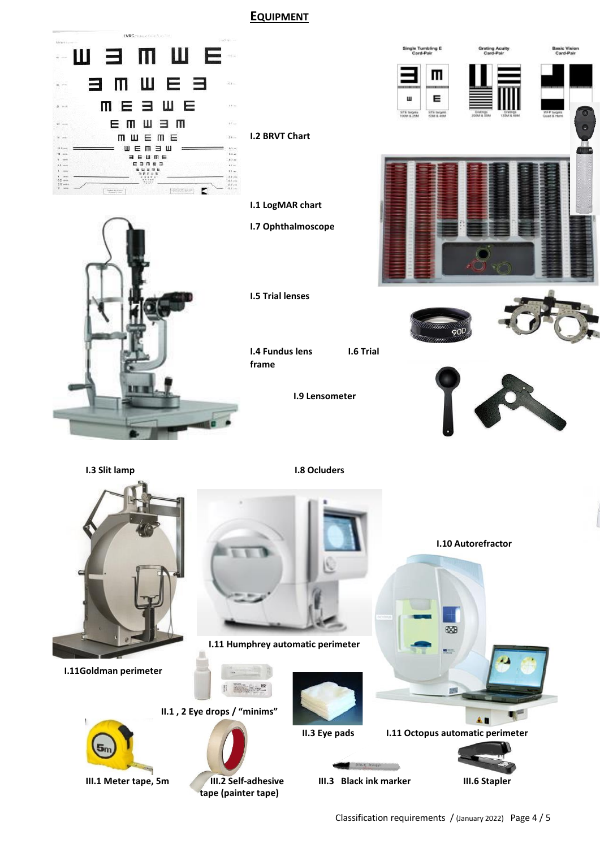### **EQUIPMENT**



Classification requirements / (January 2022) Page 4 / 5